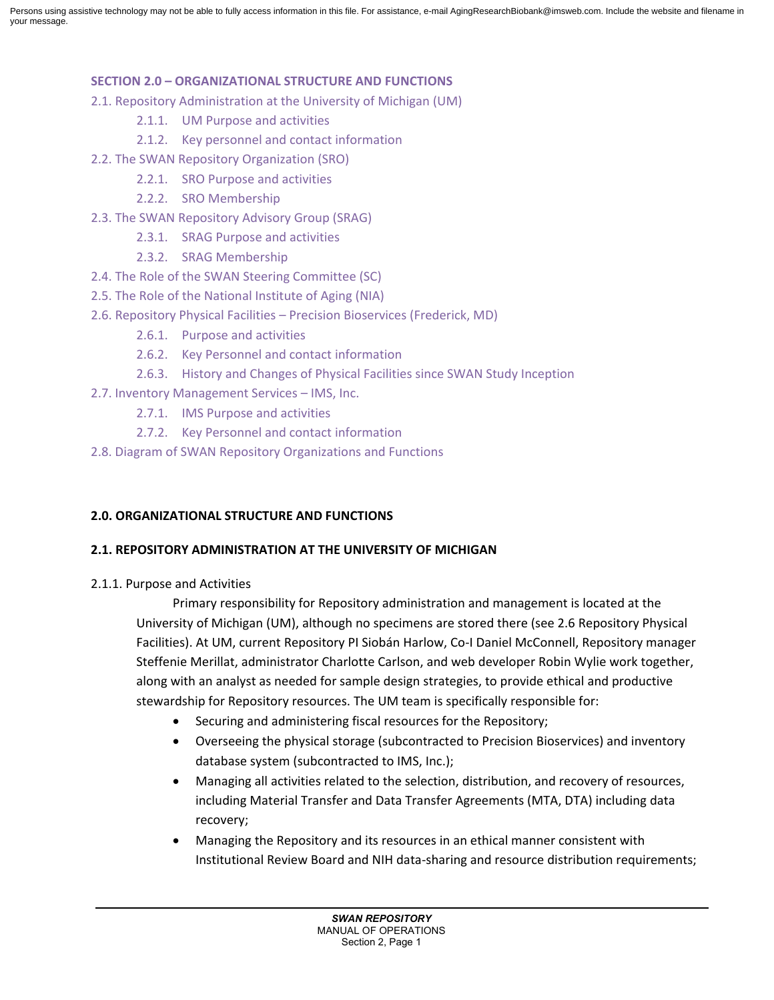#### **SECTION 2.0 – ORGANIZATIONAL STRUCTURE AND FUNCTIONS**

- 2.1. Repository Administration at the University of Michigan (UM)
	- 2.1.1. UM Purpose and activities
	- 2.1.2. Key personnel and contact information
- 2.2. The SWAN Repository Organization (SRO)
	- 2.2.1. SRO Purpose and activities
	- 2.2.2. SRO Membership
- 2.3. The SWAN Repository Advisory Group (SRAG)
	- 2.3.1. SRAG Purpose and activities
	- 2.3.2. SRAG Membership
- 2.4. The Role of the SWAN Steering Committee (SC)
- 2.5. The Role of the National Institute of Aging (NIA)
- 2.6. Repository Physical Facilities Precision Bioservices (Frederick, MD)
	- 2.6.1. Purpose and activities
	- 2.6.2. Key Personnel and contact information
	- 2.6.3. History and Changes of Physical Facilities since SWAN Study Inception
- 2.7. Inventory Management Services IMS, Inc.
	- 2.7.1. IMS Purpose and activities
	- 2.7.2. Key Personnel and contact information
- 2.8. Diagram of SWAN Repository Organizations and Functions

## **2.0. ORGANIZATIONAL STRUCTURE AND FUNCTIONS**

## **2.1. REPOSITORY ADMINISTRATION AT THE UNIVERSITY OF MICHIGAN**

2.1.1. Purpose and Activities

Primary responsibility for Repository administration and management is located at the University of Michigan (UM), although no specimens are stored there (see 2.6 Repository Physical Facilities). At UM, current Repository PI Siobán Harlow, Co-I Daniel McConnell, Repository manager Steffenie Merillat, administrator Charlotte Carlson, and web developer Robin Wylie work together, along with an analyst as needed for sample design strategies, to provide ethical and productive stewardship for Repository resources. The UM team is specifically responsible for:

- Securing and administering fiscal resources for the Repository;
- Overseeing the physical storage (subcontracted to Precision Bioservices) and inventory database system (subcontracted to IMS, Inc.);
- Managing all activities related to the selection, distribution, and recovery of resources, including Material Transfer and Data Transfer Agreements (MTA, DTA) including data recovery;
- Managing the Repository and its resources in an ethical manner consistent with Institutional Review Board and NIH data-sharing and resource distribution requirements;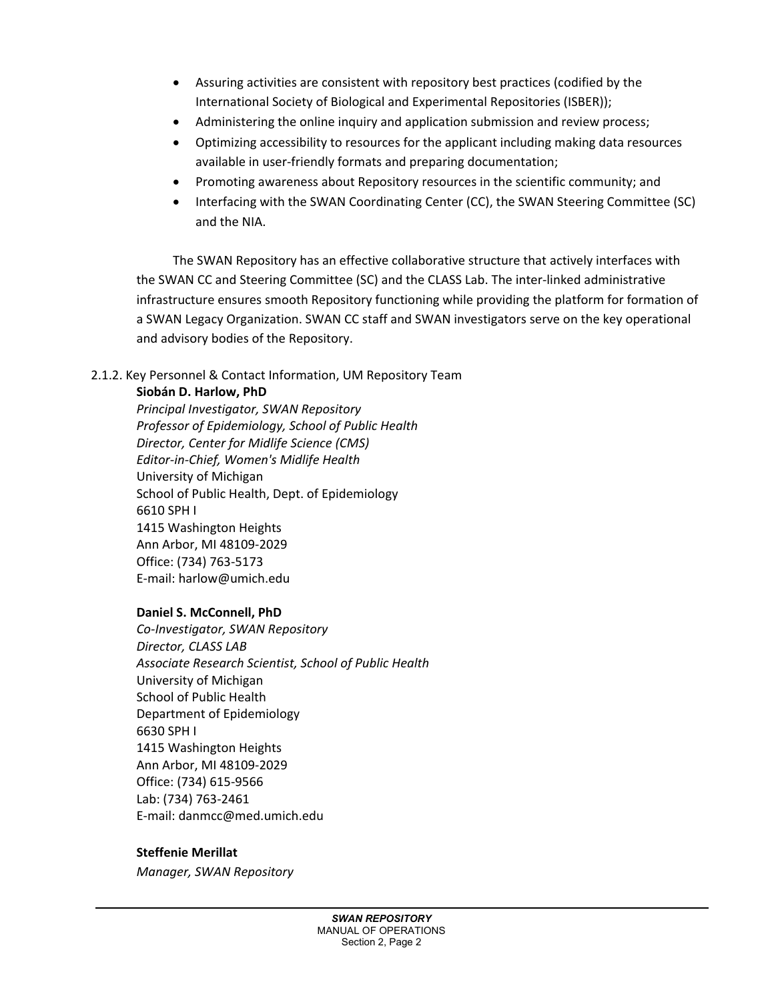- Assuring activities are consistent with repository best practices (codified by the International Society of Biological and Experimental Repositories (ISBER));
- Administering the online inquiry and application submission and review process;
- Optimizing accessibility to resources for the applicant including making data resources available in user-friendly formats and preparing documentation;
- Promoting awareness about Repository resources in the scientific community; and
- Interfacing with the SWAN Coordinating Center (CC), the SWAN Steering Committee (SC) and the NIA.

The SWAN Repository has an effective collaborative structure that actively interfaces with the SWAN CC and Steering Committee (SC) and the CLASS Lab. The inter-linked administrative infrastructure ensures smooth Repository functioning while providing the platform for formation of a SWAN Legacy Organization. SWAN CC staff and SWAN investigators serve on the key operational and advisory bodies of the Repository.

## 2.1.2. Key Personnel & Contact Information, UM Repository Team

## **Siobán D. Harlow, PhD**

*Principal Investigator, SWAN Repository Professor of Epidemiology, School of Public Health Director, Center for Midlife Science (CMS) Editor-in-Chief, Women's Midlife Health* University of Michigan School of Public Health, Dept. of Epidemiology 6610 SPH I 1415 Washington Heights Ann Arbor, MI 48109-2029 Office: (734) 763-5173 E-mail: harlow@umich.edu

## **Daniel S. McConnell, PhD**

*Co-Investigator, SWAN Repository Director, CLASS LAB Associate Research Scientist, School of Public Health* University of Michigan School of Public Health Department of Epidemiology 6630 SPH I 1415 Washington Heights Ann Arbor, MI 48109-2029 Office: (734) 615-9566 Lab: (734) 763-2461 E-mail: danmcc@med.umich.edu

## **Steffenie Merillat**

*Manager, SWAN Repository*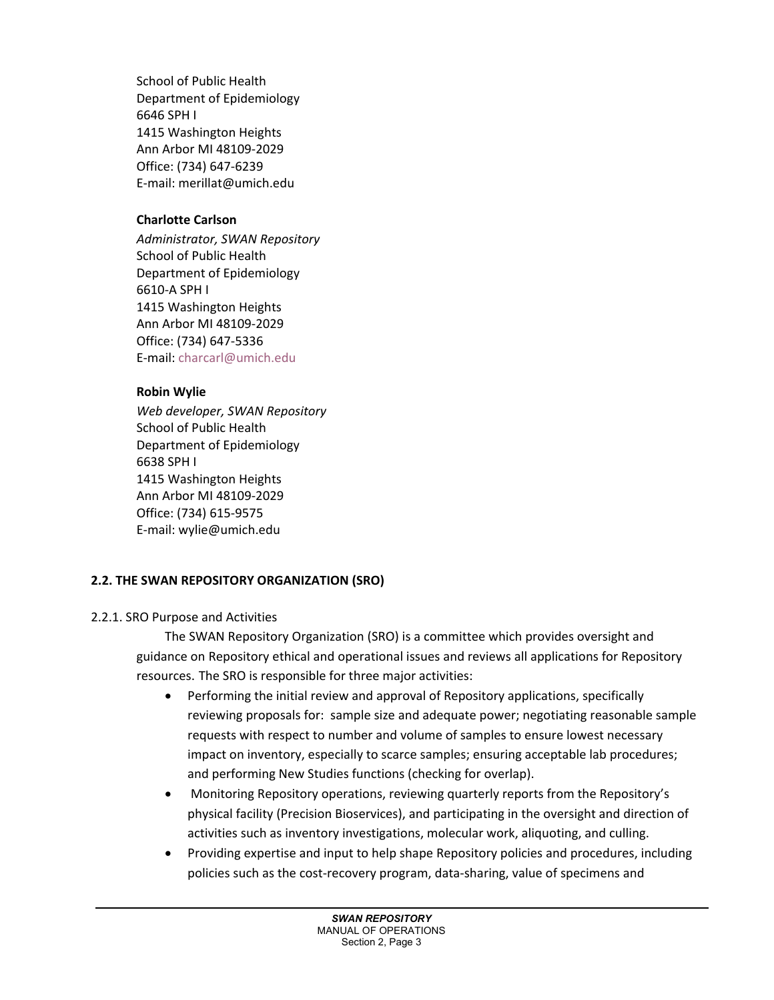School of Public Health Department of Epidemiology 6646 SPH I 1415 Washington Heights Ann Arbor MI 48109-2029 Office: (734) 647-6239 E-mail: merillat@umich.edu

# **Charlotte Carlson**

*Administrator, SWAN Repository* School of Public Health Department of Epidemiology 6610-A SPH I 1415 Washington Heights Ann Arbor MI 48109-2029 Office: (734) 647-5336 E-mail: [charcarl@umich.edu](mailto:charcarl@umich.edu)

# **Robin Wylie**

*Web developer, SWAN Repository* School of Public Health Department of Epidemiology 6638 SPH I 1415 Washington Heights Ann Arbor MI 48109-2029 Office: (734) 615-9575 E-mail: wylie@umich.edu

# **2.2. THE SWAN REPOSITORY ORGANIZATION (SRO)**

# 2.2.1. SRO Purpose and Activities

The SWAN Repository Organization (SRO) is a committee which provides oversight and guidance on Repository ethical and operational issues and reviews all applications for Repository resources. The SRO is responsible for three major activities:

- Performing the initial review and approval of Repository applications, specifically reviewing proposals for: sample size and adequate power; negotiating reasonable sample requests with respect to number and volume of samples to ensure lowest necessary impact on inventory, especially to scarce samples; ensuring acceptable lab procedures; and performing New Studies functions (checking for overlap).
- Monitoring Repository operations, reviewing quarterly reports from the Repository's physical facility (Precision Bioservices), and participating in the oversight and direction of activities such as inventory investigations, molecular work, aliquoting, and culling.
- Providing expertise and input to help shape Repository policies and procedures, including policies such as the cost-recovery program, data-sharing, value of specimens and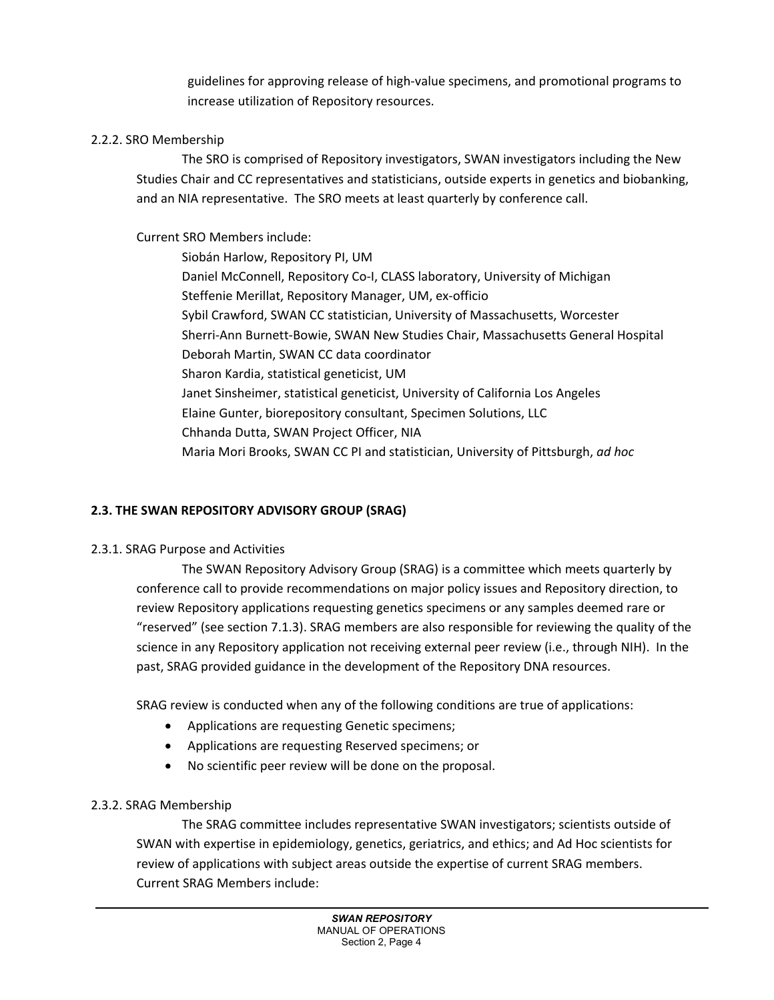guidelines for approving release of high-value specimens, and promotional programs to increase utilization of Repository resources.

#### 2.2.2. SRO Membership

The SRO is comprised of Repository investigators, SWAN investigators including the New Studies Chair and CC representatives and statisticians, outside experts in genetics and biobanking, and an NIA representative. The SRO meets at least quarterly by conference call.

Current SRO Members include:

Siobán Harlow, Repository PI, UM Daniel McConnell, Repository Co-I, CLASS laboratory, University of Michigan Steffenie Merillat, Repository Manager, UM, ex-officio Sybil Crawford, SWAN CC statistician, University of Massachusetts, Worcester Sherri-Ann Burnett-Bowie, SWAN New Studies Chair, Massachusetts General Hospital Deborah Martin, SWAN CC data coordinator Sharon Kardia, statistical geneticist, UM Janet Sinsheimer, statistical geneticist, University of California Los Angeles Elaine Gunter, biorepository consultant, Specimen Solutions, LLC Chhanda Dutta, SWAN Project Officer, NIA Maria Mori Brooks, SWAN CC PI and statistician, University of Pittsburgh, *ad hoc* 

## **2.3. THE SWAN REPOSITORY ADVISORY GROUP (SRAG)**

#### 2.3.1. SRAG Purpose and Activities

The SWAN Repository Advisory Group (SRAG) is a committee which meets quarterly by conference call to provide recommendations on major policy issues and Repository direction, to review Repository applications requesting genetics specimens or any samples deemed rare or "reserved" (see section 7.1.3). SRAG members are also responsible for reviewing the quality of the science in any Repository application not receiving external peer review (i.e., through NIH). In the past, SRAG provided guidance in the development of the Repository DNA resources.

SRAG review is conducted when any of the following conditions are true of applications:

- Applications are requesting Genetic specimens;
- Applications are requesting Reserved specimens; or
- No scientific peer review will be done on the proposal.

#### 2.3.2. SRAG Membership

The SRAG committee includes representative SWAN investigators; scientists outside of SWAN with expertise in epidemiology, genetics, geriatrics, and ethics; and Ad Hoc scientists for review of applications with subject areas outside the expertise of current SRAG members. Current SRAG Members include: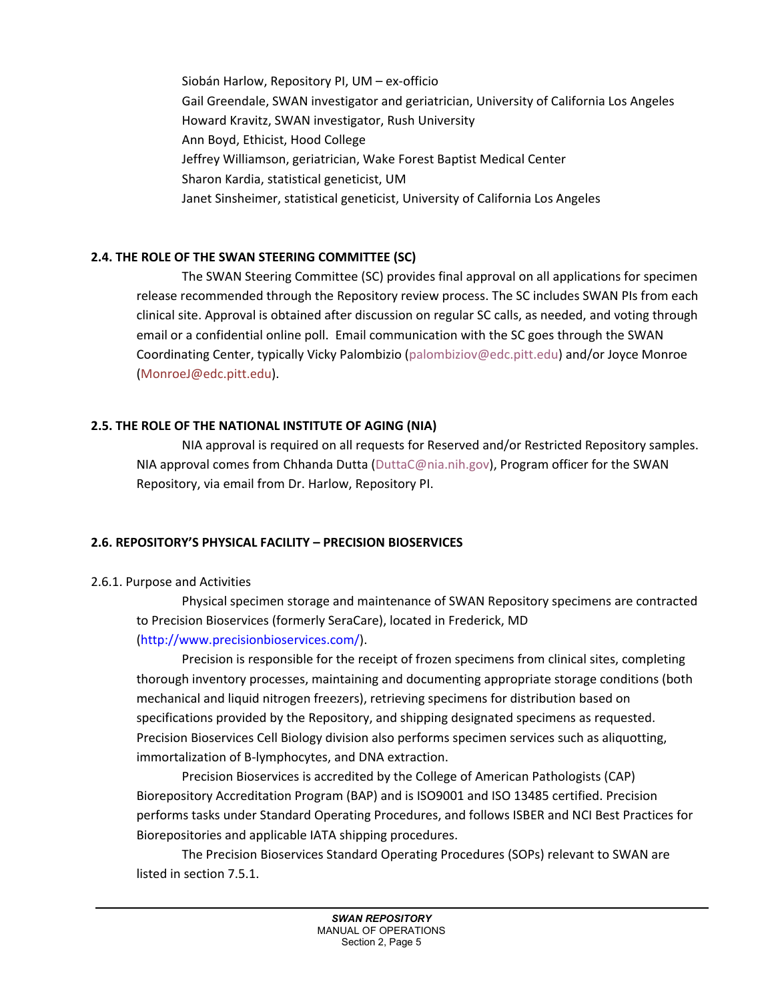Siobán Harlow, Repository PI, UM – ex-officio Gail Greendale, SWAN investigator and geriatrician, University of California Los Angeles Howard Kravitz, SWAN investigator, Rush University Ann Boyd, Ethicist, Hood College Jeffrey Williamson, geriatrician, Wake Forest Baptist Medical Center Sharon Kardia, statistical geneticist, UM Janet Sinsheimer, statistical geneticist, University of California Los Angeles

## **2.4. THE ROLE OF THE SWAN STEERING COMMITTEE (SC)**

The SWAN Steering Committee (SC) provides final approval on all applications for specimen release recommended through the Repository review process. The SC includes SWAN PIs from each clinical site. Approval is obtained after discussion on regular SC calls, as needed, and voting through email or a confidential online poll. Email communication with the SC goes through the SWAN Coordinating Center, typically Vicky Palombizio [\(palombiziov@edc.pitt.edu\)](mailto:palombiziov@edc.pitt.edu) and/or Joyce Monroe (MonroeJ@edc.pitt.edu).

## **2.5. THE ROLE OF THE NATIONAL INSTITUTE OF AGING (NIA)**

NIA approval is required on all requests for Reserved and/or Restricted Repository samples. NIA approval comes from Chhanda Dutta (DuttaC@nia.nih.gov), Program officer for the SWAN Repository, via email from Dr. Harlow, Repository PI.

## **2.6. REPOSITORY'S PHYSICAL FACILITY – PRECISION BIOSERVICES**

## 2.6.1. Purpose and Activities

Physical specimen storage and maintenance of SWAN Repository specimens are contracted to Precision Bioservices (formerly SeraCare), located in Frederick, MD (http://www.precisionbioservices.com/).

Precision is responsible for the receipt of frozen specimens from clinical sites, completing thorough inventory processes, maintaining and documenting appropriate storage conditions (both mechanical and liquid nitrogen freezers), retrieving specimens for distribution based on specifications provided by the Repository, and shipping designated specimens as requested. Precision Bioservices Cell Biology division also performs specimen services such as aliquotting, immortalization of B-lymphocytes, and DNA extraction.

Precision Bioservices is accredited by the College of American Pathologists (CAP) Biorepository Accreditation Program (BAP) and is ISO9001 and ISO 13485 certified. Precision performs tasks under Standard Operating Procedures, and follows ISBER and NCI Best Practices for Biorepositories and applicable IATA shipping procedures.

The Precision Bioservices Standard Operating Procedures (SOPs) relevant to SWAN are listed in section 7.5.1.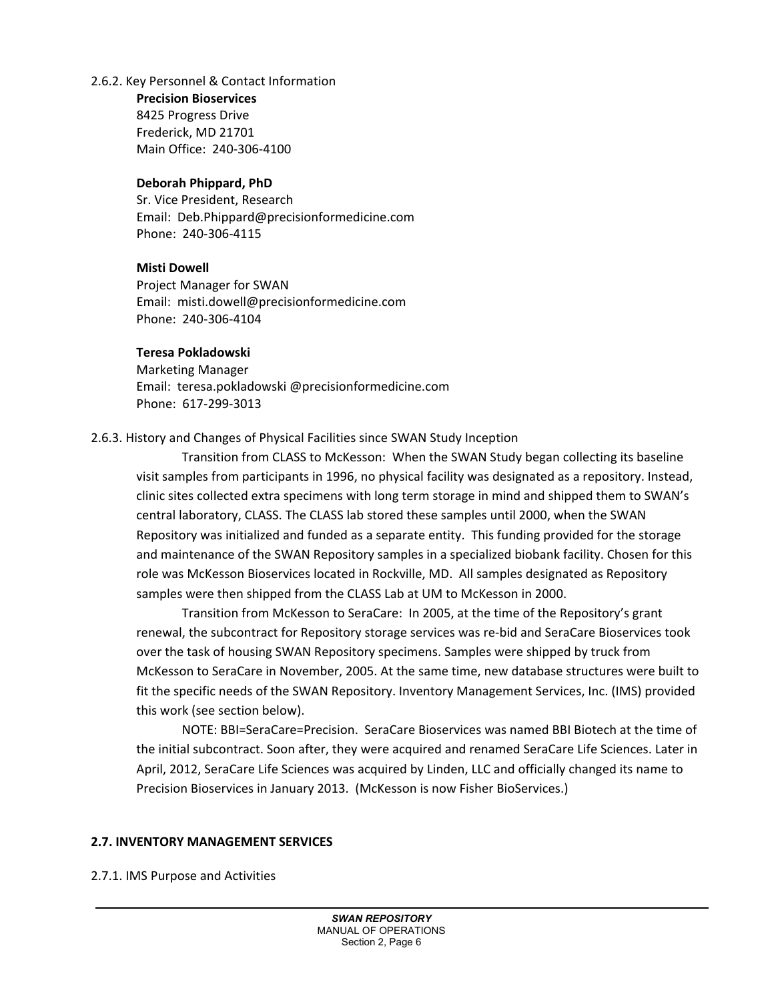#### 2.6.2. Key Personnel & Contact Information

**Precision Bioservices** 8425 Progress Drive Frederick, MD 21701 Main Office: 240-306-4100

#### **Deborah Phippard, PhD**

Sr. Vice President, Research Email: [Deb.Phippard@precisionformedicine.com](mailto:Deb.Phippard@precisionformedicine.com) Phone: 240-306-4115

## **Misti Dowell**

Project Manager for SWAN Email: [misti.dowell@precisionformedicine.com](mailto:misti.dowell@precisionformedicine.com) Phone: 240-306-4104

#### **Teresa Pokladowski**

Marketing Manager Email: teresa.pokladowski @precisionformedicine.com Phone: 617-299-3013

## 2.6.3. History and Changes of Physical Facilities since SWAN Study Inception

Transition from CLASS to McKesson: When the SWAN Study began collecting its baseline visit samples from participants in 1996, no physical facility was designated as a repository. Instead, clinic sites collected extra specimens with long term storage in mind and shipped them to SWAN's central laboratory, CLASS. The CLASS lab stored these samples until 2000, when the SWAN Repository was initialized and funded as a separate entity. This funding provided for the storage and maintenance of the SWAN Repository samples in a specialized biobank facility. Chosen for this role was McKesson Bioservices located in Rockville, MD. All samples designated as Repository samples were then shipped from the CLASS Lab at UM to McKesson in 2000.

Transition from McKesson to SeraCare: In 2005, at the time of the Repository's grant renewal, the subcontract for Repository storage services was re-bid and SeraCare Bioservices took over the task of housing SWAN Repository specimens. Samples were shipped by truck from McKesson to SeraCare in November, 2005. At the same time, new database structures were built to fit the specific needs of the SWAN Repository. Inventory Management Services, Inc. (IMS) provided this work (see section below).

NOTE: BBI=SeraCare=Precision. SeraCare Bioservices was named BBI Biotech at the time of the initial subcontract. Soon after, they were acquired and renamed SeraCare Life Sciences. Later in April, 2012, SeraCare Life Sciences was acquired by Linden, LLC and officially changed its name to Precision Bioservices in January 2013. (McKesson is now Fisher BioServices.)

## **2.7. INVENTORY MANAGEMENT SERVICES**

2.7.1. IMS Purpose and Activities